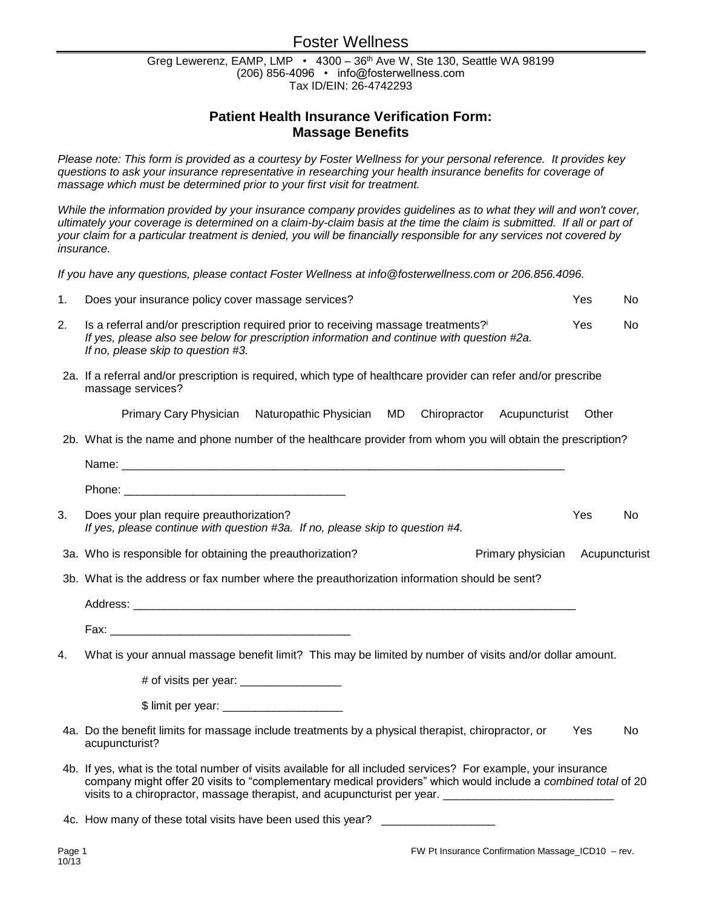# Foster Wellness

Greg Lewerenz, EAMP, LMP • 4300 - 36<sup>th</sup> Ave W, Ste 130, Seattle WA 98199 (206) 856-4096 • info@fosterwellness.com Tax ID/EIN: 26-4742293

## **Patient Health Insurance Verification Form: Massage Benefits**

*Please note: This form is provided as a courtesy by Foster Wellness for your personal reference. It provides key questions to ask your insurance representative in researching your health insurance benefits for coverage of massage which must be determined prior to your first visit for treatment.* 

While the information provided by your insurance company provides guidelines as to what they will and won't cover, *ultimately your coverage is determined on a claim-by-claim basis at the time the claim is submitted. If all or part of your claim for a particular treatment is denied, you will be financially responsible for any services not covered by insurance.*

*If you have any questions, please contact Foster Wellness at info@fosterwellness.com or 206.856.4096.*

| 1. | Does your insurance policy cover massage services?                                                                                                                                                                                                                                                                        | Yes           | No |  |  |
|----|---------------------------------------------------------------------------------------------------------------------------------------------------------------------------------------------------------------------------------------------------------------------------------------------------------------------------|---------------|----|--|--|
| 2. | Is a referral and/or prescription required prior to receiving massage treatments?i<br>If yes, please also see below for prescription information and continue with question #2a.<br>If no, please skip to question #3.                                                                                                    | Yes           | No |  |  |
|    | 2a. If a referral and/or prescription is required, which type of healthcare provider can refer and/or prescribe<br>massage services?                                                                                                                                                                                      |               |    |  |  |
|    | Primary Cary Physician Naturopathic Physician<br>MD<br>Chiropractor Acupuncturist                                                                                                                                                                                                                                         | Other         |    |  |  |
|    | 2b. What is the name and phone number of the healthcare provider from whom you will obtain the prescription?                                                                                                                                                                                                              |               |    |  |  |
|    |                                                                                                                                                                                                                                                                                                                           |               |    |  |  |
|    |                                                                                                                                                                                                                                                                                                                           |               |    |  |  |
| 3. | Does your plan require preauthorization?<br>If yes, please continue with question #3a. If no, please skip to question #4.                                                                                                                                                                                                 | Yes           | No |  |  |
|    | 3a. Who is responsible for obtaining the preauthorization?<br>Primary physician                                                                                                                                                                                                                                           | Acupuncturist |    |  |  |
|    | 3b. What is the address or fax number where the preauthorization information should be sent?                                                                                                                                                                                                                              |               |    |  |  |
|    |                                                                                                                                                                                                                                                                                                                           |               |    |  |  |
|    |                                                                                                                                                                                                                                                                                                                           |               |    |  |  |
| 4. | What is your annual massage benefit limit? This may be limited by number of visits and/or dollar amount.                                                                                                                                                                                                                  |               |    |  |  |
|    |                                                                                                                                                                                                                                                                                                                           |               |    |  |  |
|    |                                                                                                                                                                                                                                                                                                                           |               |    |  |  |
|    | 4a. Do the benefit limits for massage include treatments by a physical therapist, chiropractor, or<br>acupuncturist?                                                                                                                                                                                                      | Yes           | No |  |  |
|    | 4b. If yes, what is the total number of visits available for all included services? For example, your insurance<br>company might offer 20 visits to "complementary medical providers" which would include a combined total of 20<br>visits to a chiropractor, massage therapist, and acupuncturist per year. ____________ |               |    |  |  |
|    | 4c. How many of these total visits have been used this year?                                                                                                                                                                                                                                                              |               |    |  |  |